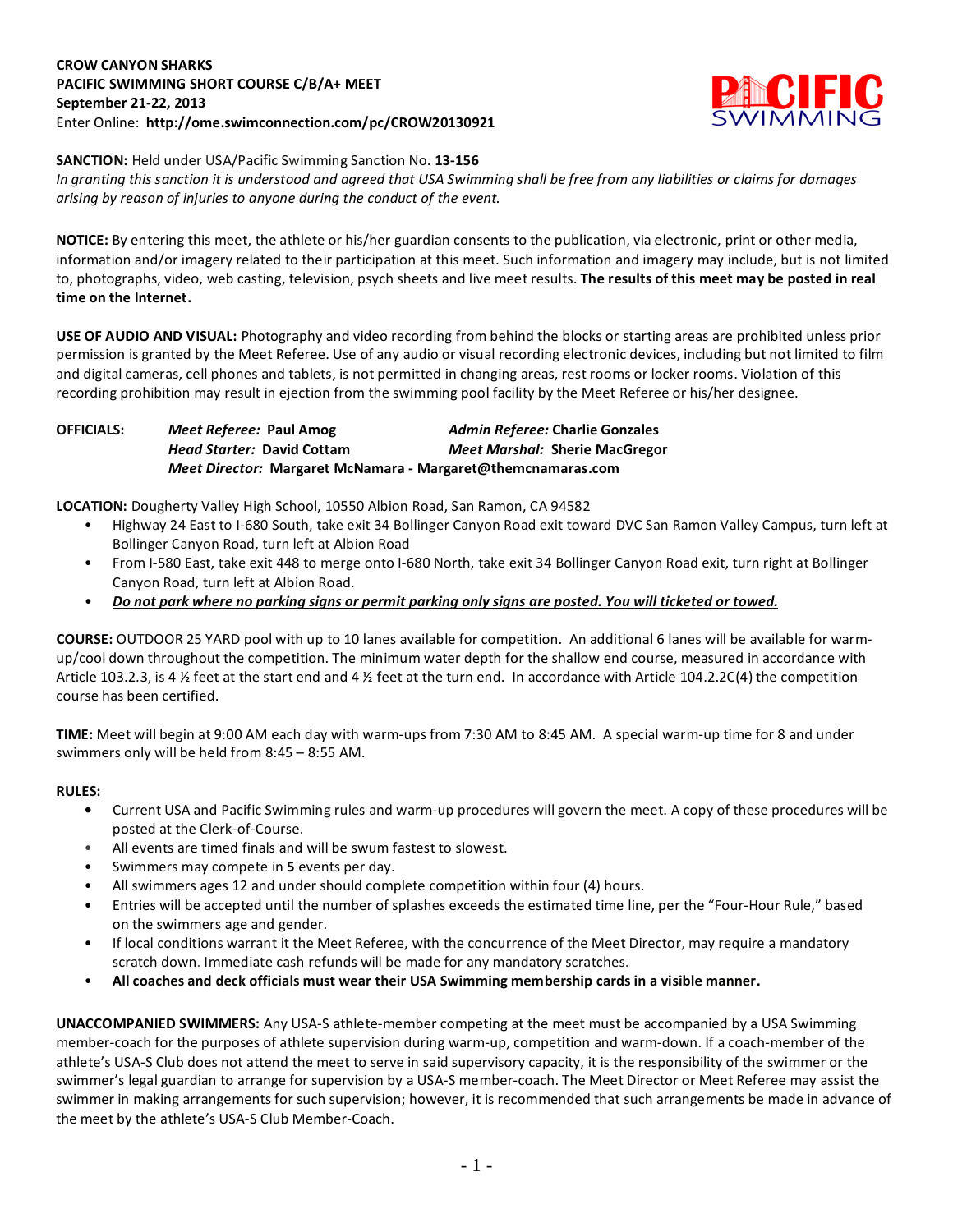### **CROW CANYON SHARKS PACIFIC SWIMMING SHORT COURSE C/B/A+ MEET September 21-22, 2013** Enter Online: **http://ome.swimconnection.com/pc/CROW20130921**



**SANCTION:** Held under USA/Pacific Swimming Sanction No. **13-156**

*In granting this sanction it is understood and agreed that USA Swimming shall be free from any liabilities or claims for damages arising by reason of injuries to anyone during the conduct of the event.*

**NOTICE:** By entering this meet, the athlete or his/her guardian consents to the publication, via electronic, print or other media, information and/or imagery related to their participation at this meet. Such information and imagery may include, but is not limited to, photographs, video, web casting, television, psych sheets and live meet results. **The results of this meet may be posted in real time on the Internet.**

**USE OF AUDIO AND VISUAL:** Photography and video recording from behind the blocks or starting areas are prohibited unless prior permission is granted by the Meet Referee. Use of any audio or visual recording electronic devices, including but not limited to film and digital cameras, cell phones and tablets, is not permitted in changing areas, rest rooms or locker rooms. Violation of this recording prohibition may result in ejection from the swimming pool facility by the Meet Referee or his/her designee.

| OFFICIALS: | Meet Referee: Paul Amog                                             | Admin Referee: Charlie Gonzales       |  |  |  |  |  |
|------------|---------------------------------------------------------------------|---------------------------------------|--|--|--|--|--|
|            | <b>Head Starter: David Cottam</b>                                   | <b>Meet Marshal: Sherie MacGregor</b> |  |  |  |  |  |
|            | <i>Meet Director:</i> Margaret McNamara - Margaret@themcnamaras.com |                                       |  |  |  |  |  |

**LOCATION:** Dougherty Valley High School, 10550 Albion Road, San Ramon, CA 94582

- Highway 24 East to I-680 South, take exit 34 Bollinger Canyon Road exit toward DVC San Ramon Valley Campus, turn left at Bollinger Canyon Road, turn left at Albion Road
- From I-580 East, take exit 448 to merge onto I-680 North, take exit 34 Bollinger Canyon Road exit, turn right at Bollinger Canyon Road, turn left at Albion Road.
- *Do not park where no parking signs or permit parking only signs are posted. You will ticketed or towed.*

**COURSE:** OUTDOOR 25 YARD pool with up to 10 lanes available for competition. An additional 6 lanes will be available for warmup/cool down throughout the competition. The minimum water depth for the shallow end course, measured in accordance with Article 103.2.3, is 4 ½ feet at the start end and 4 ½ feet at the turn end. In accordance with Article 104.2.2C(4) the competition course has been certified.

**TIME:** Meet will begin at 9:00 AM each day with warm-ups from 7:30 AM to 8:45 AM. A special warm-up time for 8 and under swimmers only will be held from 8:45 – 8:55 AM.

# **RULES:**

- **•** Current USA and Pacific Swimming rules and warm-up procedures will govern the meet. A copy of these procedures will be posted at the Clerk-of-Course.
- All events are timed finals and will be swum fastest to slowest.
- Swimmers may compete in **5** events per day.
- All swimmers ages 12 and under should complete competition within four (4) hours.
- Entries will be accepted until the number of splashes exceeds the estimated time line, per the "Four-Hour Rule," based on the swimmers age and gender.
- If local conditions warrant it the Meet Referee, with the concurrence of the Meet Director, may require a mandatory scratch down. Immediate cash refunds will be made for any mandatory scratches.
- **All coaches and deck officials must wear their USA Swimming membership cards in a visible manner.**

**UNACCOMPANIED SWIMMERS:** Any USA-S athlete-member competing at the meet must be accompanied by a USA Swimming member-coach for the purposes of athlete supervision during warm-up, competition and warm-down. If a coach-member of the athlete's USA-S Club does not attend the meet to serve in said supervisory capacity, it is the responsibility of the swimmer or the swimmer's legal guardian to arrange for supervision by a USA-S member-coach. The Meet Director or Meet Referee may assist the swimmer in making arrangements for such supervision; however, it is recommended that such arrangements be made in advance of the meet by the athlete's USA-S Club Member-Coach.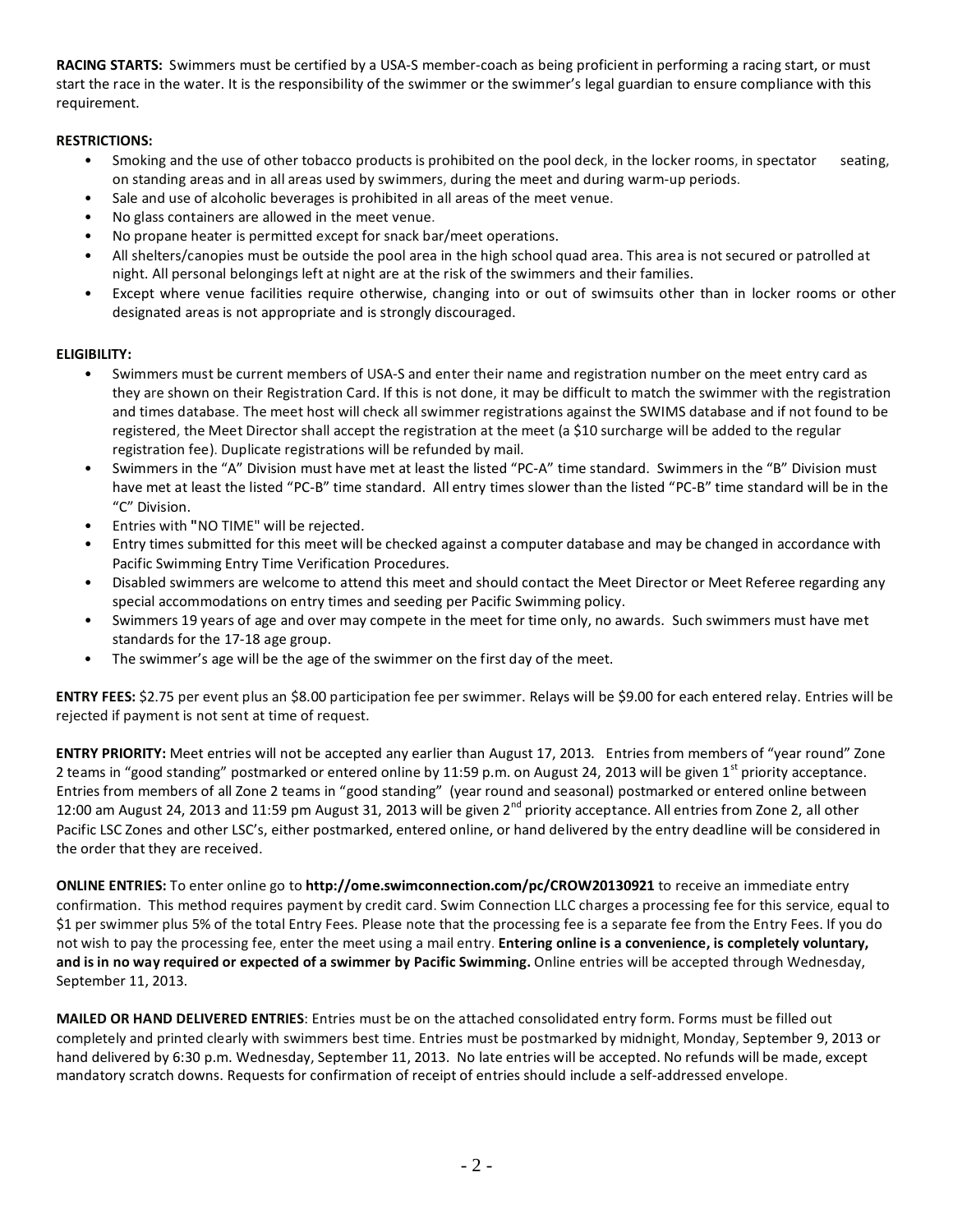**RACING STARTS:** Swimmers must be certified by a USA-S member-coach as being proficient in performing a racing start, or must start the race in the water. It is the responsibility of the swimmer or the swimmer's legal guardian to ensure compliance with this requirement.

# **RESTRICTIONS:**

- Smoking and the use of other tobacco products is prohibited on the pool deck, in the locker rooms, in spectator seating, on standing areas and in all areas used by swimmers, during the meet and during warm-up periods.
- Sale and use of alcoholic beverages is prohibited in all areas of the meet venue.
- No glass containers are allowed in the meet venue.
- No propane heater is permitted except for snack bar/meet operations.
- All shelters/canopies must be outside the pool area in the high school quad area. This area is not secured or patrolled at night. All personal belongings left at night are at the risk of the swimmers and their families.
- Except where venue facilities require otherwise, changing into or out of swimsuits other than in locker rooms or other designated areas is not appropriate and is strongly discouraged.

# **ELIGIBILITY:**

- Swimmers must be current members of USA-S and enter their name and registration number on the meet entry card as they are shown on their Registration Card. If this is not done, it may be difficult to match the swimmer with the registration and times database. The meet host will check all swimmer registrations against the SWIMS database and if not found to be registered, the Meet Director shall accept the registration at the meet (a \$10 surcharge will be added to the regular registration fee). Duplicate registrations will be refunded by mail.
- Swimmers in the "A" Division must have met at least the listed "PC-A" time standard. Swimmers in the "B" Division must have met at least the listed "PC-B" time standard. All entry times slower than the listed "PC-B" time standard will be in the "C" Division.
- Entries with **"**NO TIME" will be rejected.
- Entry times submitted for this meet will be checked against a computer database and may be changed in accordance with Pacific Swimming Entry Time Verification Procedures.
- Disabled swimmers are welcome to attend this meet and should contact the Meet Director or Meet Referee regarding any special accommodations on entry times and seeding per Pacific Swimming policy.
- Swimmers 19 years of age and over may compete in the meet for time only, no awards. Such swimmers must have met standards for the 17-18 age group.
- The swimmer's age will be the age of the swimmer on the first day of the meet.

**ENTRY FEES:** \$2.75 per event plus an \$8.00 participation fee per swimmer. Relays will be \$9.00 for each entered relay. Entries will be rejected if payment is not sent at time of request.

**ENTRY PRIORITY:** Meet entries will not be accepted any earlier than August 17, 2013*.* Entries from members of "year round" Zone 2 teams in "good standing" postmarked or entered online by 11:59 p.m. on August 24, 2013 will be given 1<sup>st</sup> priority acceptance. Entries from members of all Zone 2 teams in "good standing" (year round and seasonal) postmarked or entered online between 12:00 am August 24, 2013 and 11:59 pm August 31, 2013 will be given 2<sup>nd</sup> priority acceptance. All entries from Zone 2, all other Pacific LSC Zones and other LSC's, either postmarked, entered online, or hand delivered by the entry deadline will be considered in the order that they are received.

**ONLINE ENTRIES:** To enter online go to **http://ome.swimconnection.com/pc/CROW20130921** to receive an immediate entry confirmation. This method requires payment by credit card. Swim Connection LLC charges a processing fee for this service, equal to \$1 per swimmer plus 5% of the total Entry Fees. Please note that the processing fee is a separate fee from the Entry Fees. If you do not wish to pay the processing fee, enter the meet using a mail entry. **Entering online is a convenience, is completely voluntary, and is in no way required or expected of a swimmer by Pacific Swimming.** Online entries will be accepted through Wednesday, September 11, 2013.

**MAILED OR HAND DELIVERED ENTRIES**: Entries must be on the attached consolidated entry form. Forms must be filled out completely and printed clearly with swimmers best time. Entries must be postmarked by midnight, Monday, September 9, 2013 or hand delivered by 6:30 p.m. Wednesday, September 11, 2013. No late entries will be accepted. No refunds will be made, except mandatory scratch downs. Requests for confirmation of receipt of entries should include a self-addressed envelope.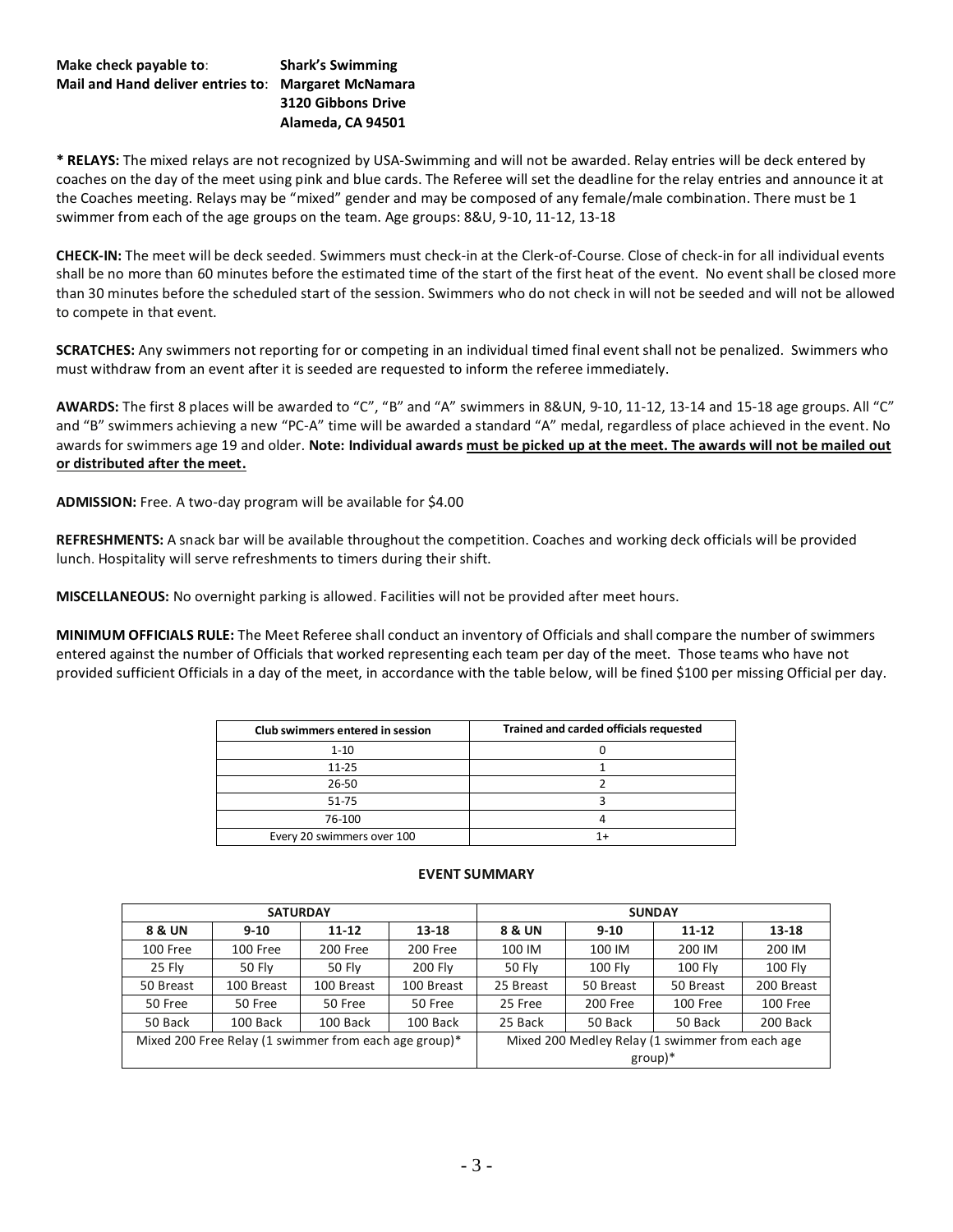### **Make check payable to**: **Shark's Swimming Mail and Hand deliver entries to**: **Margaret McNamara 3120 Gibbons Drive**

**Alameda, CA 94501**

**\* RELAYS:** The mixed relays are not recognized by USA-Swimming and will not be awarded. Relay entries will be deck entered by coaches on the day of the meet using pink and blue cards. The Referee will set the deadline for the relay entries and announce it at the Coaches meeting. Relays may be "mixed" gender and may be composed of any female/male combination. There must be 1 swimmer from each of the age groups on the team. Age groups: 8&U, 9-10, 11-12, 13-18

**CHECK-IN:** The meet will be deck seeded. Swimmers must check-in at the Clerk-of-Course. Close of check-in for all individual events shall be no more than 60 minutes before the estimated time of the start of the first heat of the event. No event shall be closed more than 30 minutes before the scheduled start of the session. Swimmers who do not check in will not be seeded and will not be allowed to compete in that event.

**SCRATCHES:** Any swimmers not reporting for or competing in an individual timed final event shall not be penalized. Swimmers who must withdraw from an event after it is seeded are requested to inform the referee immediately.

**AWARDS:** The first 8 places will be awarded to "C", "B" and "A" swimmers in 8&UN, 9-10, 11-12, 13-14 and 15-18 age groups. All "C" and "B" swimmers achieving a new "PC-A" time will be awarded a standard "A" medal, regardless of place achieved in the event. No awards for swimmers age 19 and older. **Note: Individual awards must be picked up at the meet. The awards will not be mailed out or distributed after the meet.**

**ADMISSION:** Free. A two-day program will be available for \$4.00

**REFRESHMENTS:** A snack bar will be available throughout the competition. Coaches and working deck officials will be provided lunch. Hospitality will serve refreshments to timers during their shift.

**MISCELLANEOUS:** No overnight parking is allowed. Facilities will not be provided after meet hours.

**MINIMUM OFFICIALS RULE:** The Meet Referee shall conduct an inventory of Officials and shall compare the number of swimmers entered against the number of Officials that worked representing each team per day of the meet. Those teams who have not provided sufficient Officials in a day of the meet, in accordance with the table below, will be fined \$100 per missing Official per day.

| Club swimmers entered in session | Trained and carded officials requested |
|----------------------------------|----------------------------------------|
| $1 - 10$                         |                                        |
| $11 - 25$                        |                                        |
| 26-50                            |                                        |
| 51-75                            |                                        |
| 76-100                           |                                        |
| Every 20 swimmers over 100       |                                        |

| <b>SATURDAY</b>                                       |            |            |            | <b>SUNDAY</b>                                   |           |           |            |  |
|-------------------------------------------------------|------------|------------|------------|-------------------------------------------------|-----------|-----------|------------|--|
| 8 & UN                                                | $9 - 10$   | $11 - 12$  | $13 - 18$  | 8 & UN                                          | $9 - 10$  | $11 - 12$ | 13-18      |  |
| 100 Free                                              | 100 Free   | 200 Free   | 200 Free   | 100 IM                                          | 100 IM    | 200 IM    | 200 IM     |  |
| 25 Fly                                                | 50 Fly     | 50 Fly     | 200 Fly    | 50 Fly                                          | 100 Fly   | 100 Fly   | 100 Fly    |  |
| 50 Breast                                             | 100 Breast | 100 Breast | 100 Breast | 25 Breast                                       | 50 Breast | 50 Breast | 200 Breast |  |
| 50 Free                                               | 50 Free    | 50 Free    | 50 Free    | 25 Free                                         | 200 Free  | 100 Free  | 100 Free   |  |
| 50 Back                                               | 100 Back   | 100 Back   | 100 Back   | 25 Back                                         | 50 Back   | 50 Back   | 200 Back   |  |
| Mixed 200 Free Relay (1 swimmer from each age group)* |            |            |            | Mixed 200 Medley Relay (1 swimmer from each age |           |           |            |  |
|                                                       |            |            |            | $group)*$                                       |           |           |            |  |

### **EVENT SUMMARY**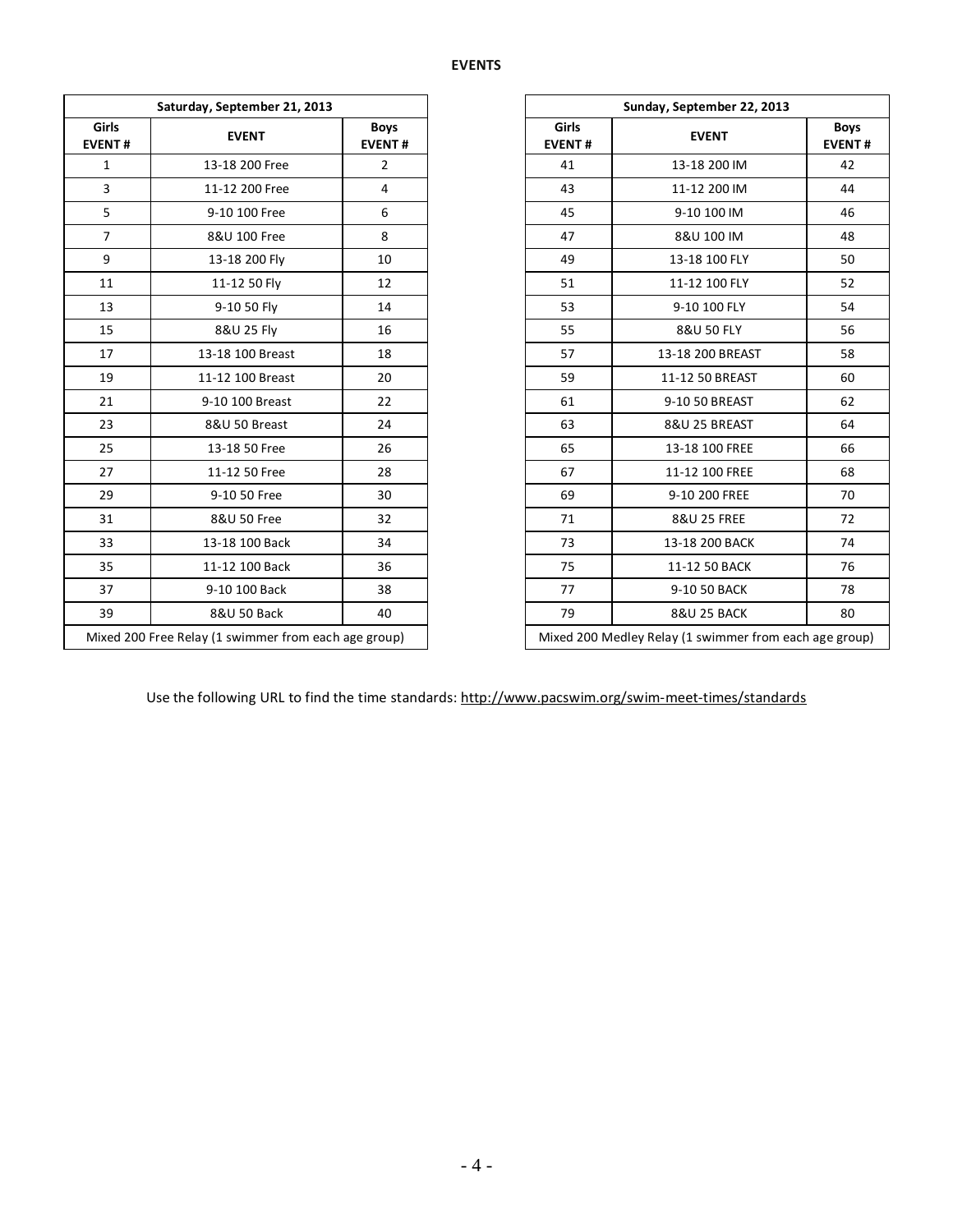| Saturday, September 21, 2013 |                                                      |                              |                        | Sunday, September 22, 2013                          |                    |
|------------------------------|------------------------------------------------------|------------------------------|------------------------|-----------------------------------------------------|--------------------|
| Girls<br><b>EVENT#</b>       | <b>EVENT</b>                                         | <b>Boys</b><br><b>EVENT#</b> | Girls<br><b>EVENT#</b> | <b>EVENT</b>                                        | Boy<br><b>EVEN</b> |
| $\mathbf{1}$                 | 13-18 200 Free                                       | $\overline{2}$               | 41                     | 13-18 200 IM                                        | 42                 |
| $\overline{3}$               | 11-12 200 Free                                       | $\overline{4}$               | 43                     | 11-12 200 IM                                        | 44                 |
| 5                            | 9-10 100 Free                                        | 6                            | 45                     | 9-10 100 IM                                         | 46                 |
| $\overline{7}$               | 8&U 100 Free                                         | 8                            | 47                     | 8&U 100 IM                                          | 48                 |
| 9                            | 13-18 200 Fly                                        | 10                           | 49                     | 13-18 100 FLY                                       | 50                 |
| 11                           | 11-12 50 Fly                                         | 12                           | 51                     | 11-12 100 FLY                                       | 52                 |
| 13                           | 9-10 50 Fly                                          | 14                           | 53                     | 9-10 100 FLY                                        | 54                 |
| 15                           | 8&U 25 Fly                                           | 16                           | 55                     | 8&U 50 FLY                                          | 56                 |
| 17                           | 13-18 100 Breast                                     | 18                           | 57                     | 13-18 200 BREAST                                    | 58                 |
| 19                           | 11-12 100 Breast                                     | 20                           | 59                     | 11-12 50 BREAST                                     | 60                 |
| 21                           | 9-10 100 Breast                                      | 22                           | 61                     | 9-10 50 BREAST                                      | 62                 |
| 23                           | 8&U 50 Breast                                        | 24                           | 63                     | 8&U 25 BREAST                                       | 64                 |
| 25                           | 13-18 50 Free                                        | 26                           | 65                     | 13-18 100 FREE                                      | 66                 |
| 27                           | 11-12 50 Free                                        | 28                           | 67                     | 11-12 100 FREE                                      | 68                 |
| 29                           | 9-10 50 Free                                         | 30                           | 69                     | 9-10 200 FREE                                       | 70                 |
| 31                           | 8&U 50 Free                                          | 32                           | 71                     | 8&U 25 FREE                                         | 72                 |
| 33                           | 13-18 100 Back                                       | 34                           | 73                     | 13-18 200 BACK                                      | 74                 |
| 35                           | 11-12 100 Back                                       | 36                           | 75                     | 11-12 50 BACK                                       | 76                 |
| 37                           | 9-10 100 Back                                        | 38                           | 77                     | 9-10 50 BACK                                        | 78                 |
| 39                           | 8&U 50 Back                                          | 40                           | 79                     | <b>8&amp;U 25 BACK</b>                              | 80                 |
|                              | Mixed 200 Free Relay (1 swimmer from each age group) |                              |                        | Mixed 200 Medley Relay (1 swimmer from each age gro |                    |

|                                                      | Saturday, September 21, 2013 |                              |
|------------------------------------------------------|------------------------------|------------------------------|
| Girls<br>EVENT#                                      | <b>EVENT</b>                 | <b>Boys</b><br><b>EVENT#</b> |
| $\mathbf{1}$                                         | 13-18 200 Free               | $\overline{2}$               |
| $\overline{3}$                                       | 11-12 200 Free               | 4                            |
| 5                                                    | 9-10 100 Free                | 6                            |
| $7^{\circ}$                                          | 8&U 100 Free                 | 8                            |
| 9                                                    | 13-18 200 Fly                | 10                           |
| 11                                                   | 11-12 50 Fly                 | 12                           |
| 13                                                   | 9-10 50 Fly                  | 14                           |
| 15                                                   | 8&U 25 Fly                   | 16                           |
| 17                                                   | 13-18 100 Breast             | 18                           |
| 19                                                   | 11-12 100 Breast             | 20                           |
| 21                                                   | 9-10 100 Breast              | 22                           |
| 23                                                   | 8&U 50 Breast                | 24                           |
| 25                                                   | 13-18 50 Free                | 26                           |
| 27                                                   | 11-12 50 Free                | 28                           |
| 29                                                   | 9-10 50 Free                 | 30                           |
| 31                                                   | 8&U 50 Free                  | 32                           |
| 33                                                   | 13-18 100 Back               | 34                           |
| 35                                                   | 11-12 100 Back               | 36                           |
| 37                                                   | 9-10 100 Back                | 38                           |
| 39                                                   | 8&U 50 Back                  | 40                           |
| Mixed 200 Free Relay (1 swimmer from each age group) |                              |                              |

Use the following URL to find the time standards:<http://www.pacswim.org/swim-meet-times/standards>